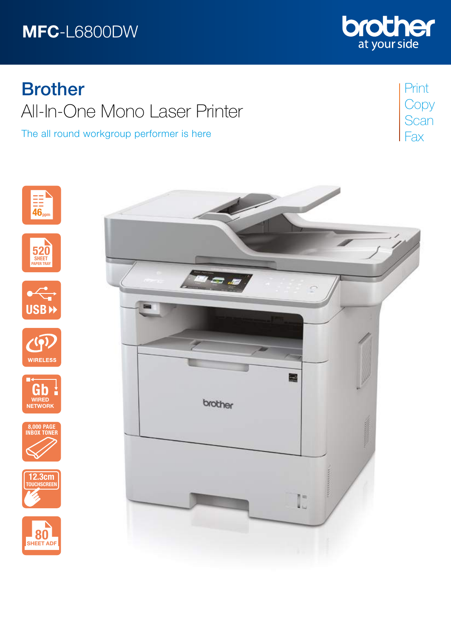# MFC-L6800DW



# **Brother** All-In-One Mono Laser Printer

The all round workgroup performer is here

Print **Copy Scan** Fax













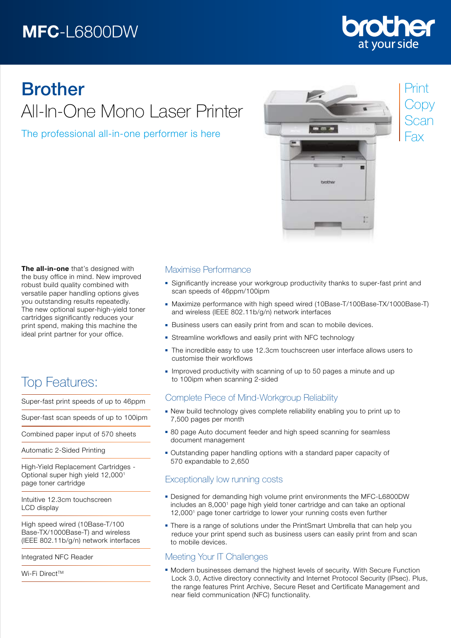# MFC-L6800DW



# Brother All-In-One Mono Laser Printer

The professional all-in-one performer is here



The all-in-one that's designed with the busy office in mind. New improved robust build quality combined with versatile paper handling options gives you outstanding results repeatedly. The new optional super-high-yield toner cartridges significantly reduces your print spend, making this machine the ideal print partner for your office.

# Top Features:

Super-fast print speeds of up to 46ppm

Super-fast scan speeds of up to 100ipm

Combined paper input of 570 sheets

Automatic 2-Sided Printing

High-Yield Replacement Cartridges - Optional super high yield 12,000<sup>1</sup> page toner cartridge

Intuitive 12.3cm touchscreen LCD display

High speed wired (10Base-T/100 Base-TX/1000Base-T) and wireless (IEEE 802.11b/g/n) network interfaces

Integrated NFC Reader

Wi-Fi Direct™

### Maximise Performance

- Significantly increase your workgroup productivity thanks to super-fast print and scan speeds of 46ppm/100ipm
- Maximize performance with high speed wired (10Base-T/100Base-TX/1000Base-T) and wireless (IEEE 802.11b/g/n) network interfaces
- **Business users can easily print from and scan to mobile devices.**
- Streamline workflows and easily print with NFC technology
- The incredible easy to use 12.3cm touchscreen user interface allows users to customise their workflows
- Improved productivity with scanning of up to 50 pages a minute and up to 100ipm when scanning 2-sided

## Complete Piece of Mind-Workgroup Reliability

- New build technology gives complete reliability enabling you to print up to 7,500 pages per month
- **80 page Auto document feeder and high speed scanning for seamless** document management
- Outstanding paper handling options with a standard paper capacity of 570 expandable to 2,650

## Exceptionally low running costs

- **Designed for demanding high volume print environments the MFC-L6800DW** includes an 8,0001 page high yield toner cartridge and can take an optional 12,0001 page toner cartridge to lower your running costs even further
- **There is a range of solutions under the PrintSmart Umbrella that can help you**  reduce your print spend such as business users can easily print from and scan to mobile devices.

## Meeting Your IT Challenges

Modern businesses demand the highest levels of security. With Secure Function Lock 3.0, Active directory connectivity and Internet Protocol Security (IPsec). Plus, the range features Print Archive, Secure Reset and Certificate Management and near field communication (NFC) functionality.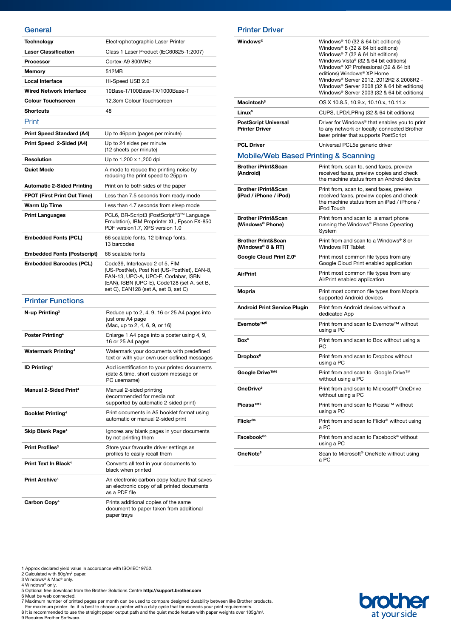#### **General**

| Technology                          | Electrophotographic Laser Printer                                                                                                                                                                            |
|-------------------------------------|--------------------------------------------------------------------------------------------------------------------------------------------------------------------------------------------------------------|
| <b>Laser Classification</b>         | Class 1 Laser Product (IEC60825-1:2007)                                                                                                                                                                      |
| Processor                           | Cortex-A9 800MHz                                                                                                                                                                                             |
| Memory                              | 512MB                                                                                                                                                                                                        |
| Local Interface                     | Hi-Speed USB 2.0                                                                                                                                                                                             |
| Wired Network Interface             | 10Base-T/100Base-TX/1000Base-T                                                                                                                                                                               |
| <b>Colour Touchscreen</b>           | 12.3cm Colour Touchscreen                                                                                                                                                                                    |
| <b>Shortcuts</b>                    | 48                                                                                                                                                                                                           |
| Print                               |                                                                                                                                                                                                              |
| <b>Print Speed Standard (A4)</b>    | Up to 46ppm (pages per minute)                                                                                                                                                                               |
| Print Speed 2-Sided (A4)            | Up to 24 sides per minute<br>(12 sheets per minute)                                                                                                                                                          |
| <b>Resolution</b>                   | Up to 1,200 x 1,200 dpi                                                                                                                                                                                      |
| <b>Quiet Mode</b>                   | A mode to reduce the printing noise by<br>reducing the print speed to 25ppm                                                                                                                                  |
| <b>Automatic 2-Sided Printing</b>   | Print on to both sides of the paper                                                                                                                                                                          |
| <b>FPOT (First Print Out Time)</b>  | Less than 7.5 seconds from ready mode                                                                                                                                                                        |
| Warm Up Time                        | Less than 4.7 seconds from sleep mode                                                                                                                                                                        |
| <b>Print Languages</b>              | PCL6, BR-Script3 (PostScript®3™ Language<br>Emulation), IBM Proprinter XL, Epson FX-850<br>PDF version1.7, XPS version 1.0                                                                                   |
| <b>Embedded Fonts (PCL)</b>         | 66 scalable fonts, 12 bitmap fonts,<br>13 barcodes                                                                                                                                                           |
| <b>Embedded Fonts (Postscript)</b>  | 66 scalable fonts                                                                                                                                                                                            |
| <b>Embedded Barcodes (PCL)</b>      | Code39, Interleaved 2 of 5, FIM<br>(US-PostNet), Post Net (US-PostNet), EAN-8,<br>EAN-13, UPC-A, UPC-E, Codabar, ISBN<br>(EAN), ISBN (UPC-E), Code128 (set A, set B,<br>set C), EAN128 (set A, set B, set C) |
| <b>Printer Functions</b>            |                                                                                                                                                                                                              |
| N-up Printing <sup>3</sup>          | Reduce up to 2, 4, 9, 16 or 25 A4 pages into<br>just one A4 page<br>(Mac, up to 2, 4, 6, 9, or 16)                                                                                                           |
| Poster Printing <sup>4</sup>        | Enlarge 1 A4 page into a poster using 4, 9,<br>16 or 25 A4 pages                                                                                                                                             |
| <b>Watermark Printing4</b>          | Watermark your documents with predefined<br>text or with your own user-defined messages                                                                                                                      |
| <b>ID Printing4</b>                 | Add identification to your printed documents<br>(date & time, short custom message or<br>PC username)                                                                                                        |
| <b>Manual 2-Sided Print4</b>        | Manual 2-sided printing<br>(recommended for media not<br>supported by automatic 2-sided print)                                                                                                               |
| <b>Booklet Printing<sup>4</sup></b> | Print documents in A5 booklet format using<br>automatic or manual 2-sided print                                                                                                                              |
| Skip Blank Page <sup>4</sup>        | Ignores any blank pages in your documents<br>by not printing them                                                                                                                                            |
| Print Profiles <sup>3</sup>         | Store your favourite driver settings as<br>profiles to easily recall them                                                                                                                                    |
| Print Text In Black <sup>4</sup>    | Converts all text in your documents to<br>black when printed                                                                                                                                                 |
| <b>Print Archive<sup>4</sup></b>    | An electronic carbon copy feature that saves<br>an electronic copy of all printed documents<br>as a PDF file                                                                                                 |
| Carbon Copy <sup>4</sup>            | Prints additional copies of the same<br>document to paper taken from additional<br>paper trays                                                                                                               |

#### Printer Driver

 $\overline{a}$ 

| <b>Windows®</b>                                          | Windows <sup>®</sup> 10 (32 & 64 bit editions)<br>Windows® 8 (32 & 64 bit editions)<br>Windows® 7 (32 & 64 bit editions)<br>Windows Vista® (32 & 64 bit editions)<br>Windows® XP Professional (32 & 64 bit<br>editions) Windows® XP Home<br>Windows® Server 2012, 2012R2 & 2008R2 -<br>Windows® Server 2008 (32 & 64 bit editions)<br>Windows® Server 2003 (32 & 64 bit editions) |
|----------------------------------------------------------|-----------------------------------------------------------------------------------------------------------------------------------------------------------------------------------------------------------------------------------------------------------------------------------------------------------------------------------------------------------------------------------|
| Macintosh <sup>5</sup>                                   | OS X 10.8.5, 10.9.x, 10.10.x, 10.11.x                                                                                                                                                                                                                                                                                                                                             |
| Linux <sup>5</sup>                                       | CUPS, LPD/LPRng (32 & 64 bit editions)                                                                                                                                                                                                                                                                                                                                            |
| <b>PostScript Universal</b><br><b>Printer Driver</b>     | Driver for Windows <sup>®</sup> that enables you to print<br>to any network or locally-connected Brother<br>laser printer that supports PostScript                                                                                                                                                                                                                                |
| <b>PCL Driver</b>                                        | Universal PCL5e generic driver                                                                                                                                                                                                                                                                                                                                                    |
| <b>Mobile/Web Based Printing &amp; Scanning</b>          |                                                                                                                                                                                                                                                                                                                                                                                   |
| <b>Brother iPrint&amp;Scan</b><br>(Android)              | Print from, scan to, send faxes, preview<br>received faxes, preview copies and check<br>the machine status from an Android device                                                                                                                                                                                                                                                 |
| <b>Brother iPrint&amp;Scan</b><br>(iPad / iPhone / iPod) | Print from, scan to, send faxes, preview<br>received faxes, preview copies and check<br>the machine status from an iPad / iPhone /<br><b>iPod Touch</b>                                                                                                                                                                                                                           |
| <b>Brother iPrint&amp;Scan</b><br>(Windows® Phone)       | Print from and scan to a smart phone<br>running the Windows <sup>®</sup> Phone Operating<br>System                                                                                                                                                                                                                                                                                |
| <b>Brother Print&amp;Scan</b><br>(Windows® 8 & RT)       | Print from and scan to a Windows® 8 or<br><b>Windows RT Tablet</b>                                                                                                                                                                                                                                                                                                                |
| Google Cloud Print 2.0 <sup>6</sup>                      | Print most common file types from any<br>Google Cloud Print enabled application                                                                                                                                                                                                                                                                                                   |
| <b>AirPrint</b>                                          | Print most common file types from any<br>AirPrint enabled application                                                                                                                                                                                                                                                                                                             |
| Mopria                                                   | Print most common file types from Mopria<br>supported Android devices                                                                                                                                                                                                                                                                                                             |
| Android Print Service Plugin                             | Print from Android devices without a<br>dedicated App                                                                                                                                                                                                                                                                                                                             |
| Evernote™ <sup>6</sup>                                   | Print from and scan to Evernote™ without<br>using a PC                                                                                                                                                                                                                                                                                                                            |
| Box <sup>6</sup>                                         | Print from and scan to Box without using a<br>РC                                                                                                                                                                                                                                                                                                                                  |
| Dropbox <sup>6</sup>                                     | Print from and scan to Dropbox without<br>using a PC                                                                                                                                                                                                                                                                                                                              |
| Google Drive™ <sup>6</sup>                               | Print from and scan to Google Drive™<br>without using a PC                                                                                                                                                                                                                                                                                                                        |
| OneDrive <sup>6</sup>                                    | Print from and scan to Microsoft <sup>®</sup> OneDrive<br>without using a PC                                                                                                                                                                                                                                                                                                      |
| Picasa™ <sup>6</sup>                                     | Print from and scan to Picasa™ without<br>using a PC                                                                                                                                                                                                                                                                                                                              |
| Flickr®6                                                 | Print from and scan to Flickr <sup>®</sup> without using<br>a PC                                                                                                                                                                                                                                                                                                                  |
| Facebook®6                                               | Print from and scan to Facebook <sup>®</sup> without<br>using a PC                                                                                                                                                                                                                                                                                                                |
| OneNote <sup>6</sup>                                     | Scan to Microsoft <sup>®</sup> OneNote without using<br>a PC                                                                                                                                                                                                                                                                                                                      |

1 Approx declared yield value in accordance with ISO/IEC19752.<br>2 Calculated with 80g/m° paper.<br>3 Windows® & Mac® only.<br>5 Optional free download from the Brother Solutions Centre **http://support.brother.com**<br>5 Optional fre

7 Maximum number of printed pages per month can be used to compare designed durability between like Brother products.<br>For maximum printer life, it is best to choose a printer with a duty cycle that far exceeds your print r

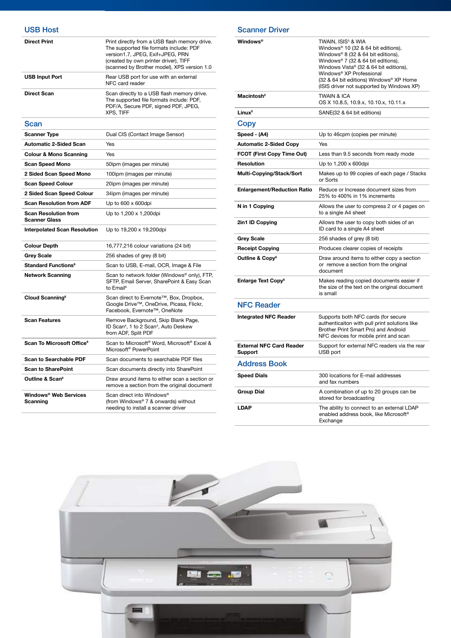| <b>Direct Print</b>                                 | Print directly from a USB flash memory drive.<br>The supported file formats include: PDF<br>version1.7, JPEG, Exif+JPEG, PRN<br>(created by own printer driver), TIFF<br>(scanned by Brother model), XPS version 1.0 |
|-----------------------------------------------------|----------------------------------------------------------------------------------------------------------------------------------------------------------------------------------------------------------------------|
| <b>USB Input Port</b>                               | Rear USB port for use with an external<br>NFC card reader                                                                                                                                                            |
| <b>Direct Scan</b>                                  | Scan directly to a USB flash memory drive.<br>The supported file formats include: PDF,<br>PDF/A, Secure PDF, signed PDF, JPEG,<br><b>XPS, TIFF</b>                                                                   |
| Scan                                                |                                                                                                                                                                                                                      |
| <b>Scanner Type</b>                                 | Dual CIS (Contact Image Sensor)                                                                                                                                                                                      |
| <b>Automatic 2-Sided Scan</b>                       | Yes                                                                                                                                                                                                                  |
| <b>Colour &amp; Mono Scanning</b>                   | Yes                                                                                                                                                                                                                  |
| <b>Scan Speed Mono</b>                              | 50ipm (images per minute)                                                                                                                                                                                            |
| 2 Sided Scan Speed Mono                             | 100ipm (images per minute)                                                                                                                                                                                           |
| <b>Scan Speed Colour</b>                            | 20ipm (images per minute)                                                                                                                                                                                            |
| 2 Sided Scan Speed Colour                           | 34ipm (images per minute)                                                                                                                                                                                            |
| <b>Scan Resolution from ADF</b>                     | Up to 600 x 600dpi                                                                                                                                                                                                   |
| <b>Scan Resolution from</b><br><b>Scanner Glass</b> | Up to 1,200 x 1,200dpi                                                                                                                                                                                               |
| <b>Interpolated Scan Resolution</b>                 | Up to 19,200 x 19,200dpi                                                                                                                                                                                             |
| <b>Colour Depth</b>                                 | 16,777,216 colour variations (24 bit)                                                                                                                                                                                |
| <b>Grey Scale</b>                                   | 256 shades of grey (8 bit)                                                                                                                                                                                           |
| <b>Standard Functions<sup>9</sup></b>               | Scan to USB, E-mail, OCR, Image & File                                                                                                                                                                               |
| <b>Network Scanning</b>                             | Scan to network folder (Windows® only), FTP,<br>SFTP, Email Server, SharePoint & Easy Scan<br>to Email <sup>6</sup>                                                                                                  |
| Cloud Scanning <sup>6</sup>                         | Scan direct to Evernote™, Box, Dropbox,<br>Google Drive™, OneDrive, Picasa, Flickr,<br>Facebook, Evernote™, OneNote                                                                                                  |
| <b>Scan Features</b>                                | Remove Background, Skip Blank Page,<br>ID Scan <sup>4</sup> , 1 to 2 Scan <sup>4</sup> , Auto Deskew<br>from ADF, Split PDF                                                                                          |
| Scan To Microsoft Office <sup>6</sup>               | Scan to Microsoft <sup>®</sup> Word, Microsoft <sup>®</sup> Excel &<br>Microsoft <sup>®</sup> PowerPoint                                                                                                             |
| <b>Scan to Searchable PDF</b>                       | Scan documents to searchable PDF files                                                                                                                                                                               |
| <b>Scan to SharePoint</b>                           | Scan documents directly into SharePoint                                                                                                                                                                              |
| Outline & Scan <sup>6</sup>                         | Draw around items to either scan a section or<br>remove a section from the original document                                                                                                                         |
| Windows® Web Services<br>Scanning                   | Scan direct into Windows®<br>(from Windows® 7 & onwards) without<br>needing to install a scanner driver                                                                                                              |

| <b>Windows®</b>                            | TWAIN, ISIS <sup>5</sup> & WIA<br>Windows® 10 (32 & 64 bit editions),<br>Windows® 8 (32 & 64 bit editions),<br>Windows® 7 (32 & 64 bit editions),<br>Windows Vista® (32 & 64 bit editions),<br>Windows® XP Professional<br>(32 & 64 bit editions) Windows® XP Home<br>(ISIS driver not supported by Windows XP) |
|--------------------------------------------|-----------------------------------------------------------------------------------------------------------------------------------------------------------------------------------------------------------------------------------------------------------------------------------------------------------------|
| Macintosh <sup>5</sup>                     | <b>TWAIN &amp; ICA</b><br>OS X 10.8.5, 10.9.x, 10.10.x, 10.11.x                                                                                                                                                                                                                                                 |
| Linux <sup>5</sup>                         | SANE(32 & 64 bit editions)                                                                                                                                                                                                                                                                                      |
| Copy                                       |                                                                                                                                                                                                                                                                                                                 |
| Speed - (A4)                               | Up to 46cpm (copies per minute)                                                                                                                                                                                                                                                                                 |
| <b>Automatic 2-Sided Copy</b>              | Yes                                                                                                                                                                                                                                                                                                             |
| FCOT (First Copy Time Out)                 | Less than 9.5 seconds from ready mode                                                                                                                                                                                                                                                                           |
| <b>Resolution</b>                          | Up to 1,200 x 600dpi                                                                                                                                                                                                                                                                                            |
| Multi-Copying/Stack/Sort                   | Makes up to 99 copies of each page / Stacks<br>or Sorts                                                                                                                                                                                                                                                         |
| <b>Enlargement/Reduction Ratio</b>         | Reduce or Increase document sizes from<br>25% to 400% in 1% increments                                                                                                                                                                                                                                          |
| N in 1 Copying                             | Allows the user to compress 2 or 4 pages on<br>to a single A4 sheet                                                                                                                                                                                                                                             |
| 2in1 ID Copying                            | Allows the user to copy both sides of an<br>ID card to a single A4 sheet                                                                                                                                                                                                                                        |
| <b>Grey Scale</b>                          | 256 shades of grey (8 bit)                                                                                                                                                                                                                                                                                      |
| <b>Receipt Copying</b>                     | Produces clearer copies of receipts                                                                                                                                                                                                                                                                             |
| Outline & Copy <sup>6</sup>                | Draw around items to either copy a section<br>or remove a section from the original<br>document                                                                                                                                                                                                                 |
| <b>Enlarge Text Copy<sup>6</sup></b>       | Makes reading copied documents easier if<br>the size of the text on the original document<br>is small                                                                                                                                                                                                           |
| <b>NFC Reader</b>                          |                                                                                                                                                                                                                                                                                                                 |
| <b>Integrated NFC Reader</b>               | Supports both NFC cards (for secure<br>authenticaiton with pull print solutions like<br>Brother Print Smart Pro) and Android<br>NFC devices for mobile print and scan                                                                                                                                           |
| <b>External NFC Card Reader</b><br>Support | Support for external NFC readers via the rear<br>USB port                                                                                                                                                                                                                                                       |
| <b>Address Book</b>                        |                                                                                                                                                                                                                                                                                                                 |
| <b>Speed Dials</b>                         | 300 locations for E-mail addresses<br>and fax numbers                                                                                                                                                                                                                                                           |
| <b>Group Dial</b>                          | A combination of up to 20 groups can be<br>stored for broadcasting                                                                                                                                                                                                                                              |
| <b>LDAP</b>                                | The ability to connect to an external LDAP<br>enabled address book, like Microsoft <sup>®</sup><br>Exchange                                                                                                                                                                                                     |

Scanner Driver

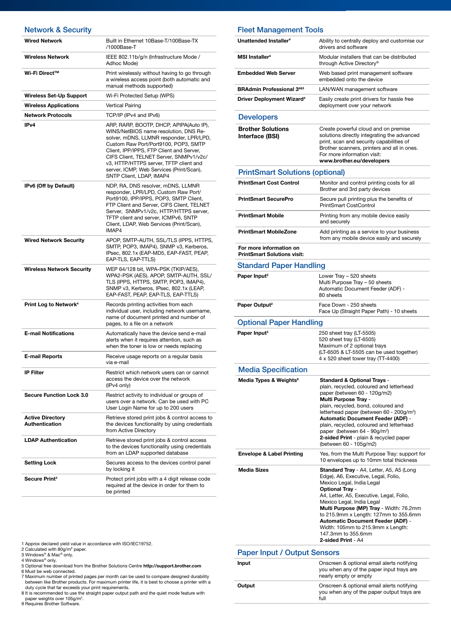| <b>Network &amp; Security</b>                    |                                                                                                                                                                                                                                                                                                                                                                              |
|--------------------------------------------------|------------------------------------------------------------------------------------------------------------------------------------------------------------------------------------------------------------------------------------------------------------------------------------------------------------------------------------------------------------------------------|
| <b>Wired Network</b>                             | Built in Ethernet 10Base-T/100Base-TX<br>/1000Base-T                                                                                                                                                                                                                                                                                                                         |
| <b>Wireless Network</b>                          | IEEE 802.11b/g/n (Infrastructure Mode /<br>Adhoc Mode)                                                                                                                                                                                                                                                                                                                       |
| Wi-Fi Direct™                                    | Print wirelessly without having to go through<br>a wireless access point (both automatic and<br>manual methods supported)                                                                                                                                                                                                                                                    |
| Wireless Set-Up Support                          | Wi-Fi Protected Setup (WPS)                                                                                                                                                                                                                                                                                                                                                  |
| <b>Wireless Applications</b>                     | Vertical Pairing                                                                                                                                                                                                                                                                                                                                                             |
| <b>Network Protocols</b>                         | TCP/IP (IPv4 and IPv6)                                                                                                                                                                                                                                                                                                                                                       |
| IP <sub>v</sub> 4                                | ARP, RARP, BOOTP, DHCP, APIPA(Auto IP),<br>WINS/NetBIOS name resolution, DNS Re-<br>solver, mDNS, LLMNR responder, LPR/LPD,<br>Custom Raw Port/Port9100, POP3, SMTP<br>Client, IPP/IPPS, FTP Client and Server,<br>CIFS Client, TELNET Server, SNMPv1/v2c/<br>v3, HTTP/HTTPS server, TFTP client and<br>server, ICMP, Web Services (Print/Scan),<br>SNTP Client, LDAP, IMAP4 |
| IPv6 (Off by Default)                            | NDP, RA, DNS resolver, mDNS, LLMNR<br>responder, LPR/LPD, Custom Raw Port/<br>Port9100, IPP/IPPS, POP3, SMTP Client,<br>FTP Client and Server, CIFS Client, TELNET<br>Server, SNMPv1/v2c, HTTP/HTTPS server,<br>TFTP client and server, ICMPv6, SNTP<br>Client, LDAP, Web Services (Print/Scan),<br>IMAP4                                                                    |
| <b>Wired Network Security</b>                    | APOP, SMTP-AUTH, SSL/TLS (IPPS, HTTPS,<br>SMTP, POP3, IMAP4), SNMP v3, Kerberos,<br>IPsec, 802.1x (EAP-MD5, EAP-FAST, PEAP,<br>EAP-TLS, EAP-TTLS)                                                                                                                                                                                                                            |
| <b>Wireless Network Security</b>                 | WEP 64/128 bit, WPA-PSK (TKIP/AES),<br>WPA2-PSK (AES), APOP, SMTP-AUTH, SSL/<br>TLS (IPPS, HTTPS, SMTP, POP3, IMAP4),<br>SNMP v3, Kerberos, IPsec, 802.1x (LEAP,<br>EAP-FAST, PEAP, EAP-TLS, EAP-TTLS)                                                                                                                                                                       |
| Print Log to Network <sup>4</sup>                | Records printing activities from each<br>individual user, including network username,<br>name of document printed and number of<br>pages, to a file on a network                                                                                                                                                                                                             |
| <b>E-mail Notifications</b>                      | Automatically have the device send e-mail<br>alerts when it requires attention, such as<br>when the toner is low or needs replacing                                                                                                                                                                                                                                          |
| <b>E-mail Reports</b>                            | Receive usage reports on a regular basis<br>via e-mail                                                                                                                                                                                                                                                                                                                       |
| <b>IP Filter</b>                                 | Restrict which network users can or cannot<br>access the device over the network<br>(IPv4 only)                                                                                                                                                                                                                                                                              |
| <b>Secure Function Lock 3.0</b>                  | Restrict activity to individual or groups of<br>users over a network. Can be used with PC<br>User Login Name for up to 200 users                                                                                                                                                                                                                                             |
| <b>Active Directory</b><br><b>Authentication</b> | Retrieve stored print jobs & control access to<br>the devices functionality by using credentials<br>from Active Directory                                                                                                                                                                                                                                                    |
| <b>LDAP Authentication</b>                       | Retrieve stored print jobs & control access<br>to the devices functionality using credentials<br>from an LDAP supported database                                                                                                                                                                                                                                             |
| <b>Setting Lock</b>                              | Secures access to the devices control panel<br>by locking it                                                                                                                                                                                                                                                                                                                 |
| Secure Print <sup>3</sup>                        | Protect print jobs with a 4 digit release code<br>required at the device in order for them to<br>be printed                                                                                                                                                                                                                                                                  |

### Fleet Management Tools

| Unattended Installer <sup>4</sup>                                | Ability to centrally deploy and customise our<br>drivers and software                                                                                                                                                                                                                                                                                                                                                                             |
|------------------------------------------------------------------|---------------------------------------------------------------------------------------------------------------------------------------------------------------------------------------------------------------------------------------------------------------------------------------------------------------------------------------------------------------------------------------------------------------------------------------------------|
| MSI Installer <sup>4</sup>                                       | Modular installers that can be distributed<br>through Active Directory®                                                                                                                                                                                                                                                                                                                                                                           |
| <b>Embedded Web Server</b>                                       | Web based print management software<br>embedded onto the device                                                                                                                                                                                                                                                                                                                                                                                   |
| <b>BRAdmin Professional 3485</b>                                 | LAN/WAN management software                                                                                                                                                                                                                                                                                                                                                                                                                       |
| <b>Driver Deployment Wizard<sup>4</sup></b>                      | Easily create print drivers for hassle free<br>deployment over your network                                                                                                                                                                                                                                                                                                                                                                       |
| <b>Developers</b>                                                |                                                                                                                                                                                                                                                                                                                                                                                                                                                   |
| <b>Brother Solutions</b><br>Interface (BSI)                      | Create powerful cloud and on premise<br>solutions directly integrating the advanced<br>print, scan and security capabilities of<br>Brother scanners, printers and all in ones.<br>For more information visit:<br>www.brother.eu/developers                                                                                                                                                                                                        |
| <b>PrintSmart Solutions (optional)</b>                           |                                                                                                                                                                                                                                                                                                                                                                                                                                                   |
| <b>PrintSmart Cost Control</b>                                   | Monitor and control printing costs for all<br>Brother and 3rd party devices                                                                                                                                                                                                                                                                                                                                                                       |
| <b>PrintSmart SecurePro</b>                                      | Secure pull printing plus the benefits of<br><b>PrintSmart CostControl</b>                                                                                                                                                                                                                                                                                                                                                                        |
| <b>PrintSmart Mobile</b>                                         | Printing from any mobile device easily<br>and securely                                                                                                                                                                                                                                                                                                                                                                                            |
| <b>PrintSmart MobileZone</b>                                     | Add printing as a service to your business<br>from any mobile device easily and securely                                                                                                                                                                                                                                                                                                                                                          |
| For more information on<br><b>PrintSmart Solutions visit:</b>    |                                                                                                                                                                                                                                                                                                                                                                                                                                                   |
| <b>Standard Paper Handling</b>                                   |                                                                                                                                                                                                                                                                                                                                                                                                                                                   |
| Paper Input <sup>2</sup>                                         | Lower Tray - 520 sheets<br>Multi Purpose Tray - 50 sheets<br>Automatic Document Feeder (ADF) -                                                                                                                                                                                                                                                                                                                                                    |
|                                                                  | 80 sheets                                                                                                                                                                                                                                                                                                                                                                                                                                         |
| Paper Output <sup>2</sup>                                        | Face Down - 250 sheets<br>Face Up (Straight Paper Path) - 10 sheets                                                                                                                                                                                                                                                                                                                                                                               |
| <b>Optional Paper Handling</b>                                   |                                                                                                                                                                                                                                                                                                                                                                                                                                                   |
| Paper Input <sup>2</sup>                                         | 250 sheet tray (LT-5505)<br>520 sheet tray (LT-6505)<br>Maximum of 2 optional trays<br>(LT-6505 & LT-5505 can be used together)<br>4 x 520 sheet tower tray (TT-4400)                                                                                                                                                                                                                                                                             |
|                                                                  |                                                                                                                                                                                                                                                                                                                                                                                                                                                   |
| <b>Media Specification</b><br>Media Types & Weights <sup>8</sup> | <b>Standard &amp; Optional Trays -</b><br>plain, recycled, coloured and letterhead<br>paper (between 60 - 120g/m2)<br>Multi Purpose Tray -<br>plain, recycled, bond, coloured and<br>letterhead paper (between 60 - 200g/m <sup>2</sup> )<br><b>Automatic Document Feeder (ADF) -</b><br>plain, recycled, coloured and letterhead<br>paper (between 64 - 90g/m <sup>2</sup> )<br>2-sided Print - plain & recycled paper<br>(between 60 - 105g/m2) |
| <b>Envelope &amp; Label Printing</b>                             | Yes, from the Multi Purpose Tray: support for<br>10 envelopes up to 10mm total thickness                                                                                                                                                                                                                                                                                                                                                          |
| <b>Media Sizes</b><br><b>Paner Innut / Output Sensors</b>        | <b>Standard Tray</b> - A4, Letter, A5, A5 (Long<br>Edge), A6, Executive, Legal, Folio,<br>Mexico Legal, India Legal<br><b>Optional Tray -</b><br>A4, Letter, A5, Executive, Legal, Folio,<br>Mexico Legal, India Legal<br>Multi Purpose (MP) Tray - Width: 76.2mm<br>to 215.9mm x Length: 127mm to 355.6mm<br><b>Automatic Document Feeder (ADF) -</b><br>Width: 105mm to 215.9mm x Length:<br>147.3mm to 355.6mm<br>2-sided Print - A4           |

1 Approx declared yield value in accordance with ISO/IEC19752.<br>2 Calculated with 80g/m<sup>2</sup> paper.<br>3 Windows® & Mac® only.<br>4 Windows® only.<br>5 Optional free download from the Brother Solutions Centre **http://support.brother.c** 

#### Paper Input / Output Sensors

| Input  | Onscreen & optional email alerts notifying<br>you when any of the paper input trays are<br>nearly empty or empty |
|--------|------------------------------------------------------------------------------------------------------------------|
| Output | Onscreen & optional email alerts notifying<br>you when any of the paper output trays are<br>full                 |